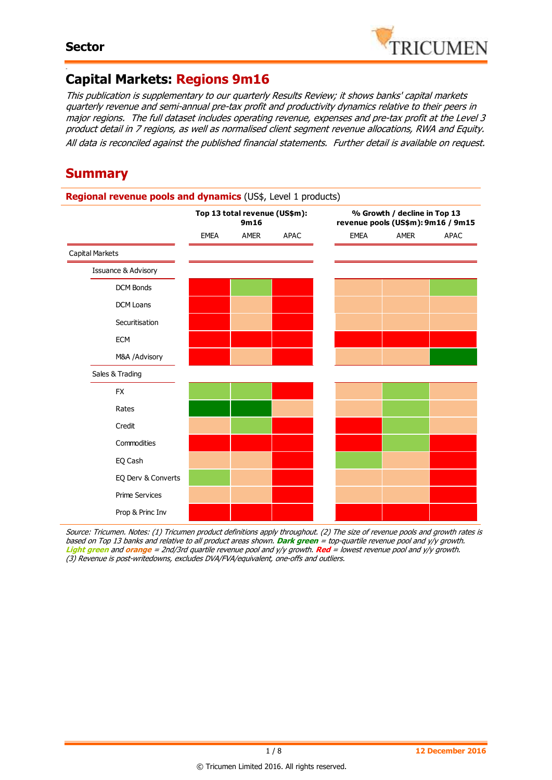

#### - **Capital Markets: Regions 9m16**

This publication is supplementary to our quarterly Results Review; it shows banks' capital markets quarterly revenue and semi-annual pre-tax profit and productivity dynamics relative to their peers in major regions. The full dataset includes operating revenue, expenses and pre-tax profit at the Level 3 product detail in 7 regions, as well as normalised client segment revenue allocations, RWA and Equity. All data is reconciled against the published financial statements. Further detail is available on request.

## **Summary**

#### **Regional revenue pools and dynamics** (US\$, Level 1 products)

|                                |             | Top 13 total revenue (US\$m):<br>9m16 |      | % Growth / decline in Top 13<br>revenue pools (US\$m): 9m16 / 9m15 |      |             |  |  |  |  |  |
|--------------------------------|-------------|---------------------------------------|------|--------------------------------------------------------------------|------|-------------|--|--|--|--|--|
|                                | <b>EMEA</b> | AMER                                  | APAC | <b>EMEA</b>                                                        | AMER | <b>APAC</b> |  |  |  |  |  |
| Capital Markets                |             |                                       |      |                                                                    |      |             |  |  |  |  |  |
| <b>Issuance &amp; Advisory</b> |             |                                       |      |                                                                    |      |             |  |  |  |  |  |
| <b>DCM Bonds</b>               |             |                                       |      |                                                                    |      |             |  |  |  |  |  |
| DCM Loans                      |             |                                       |      |                                                                    |      |             |  |  |  |  |  |
| Securitisation                 |             |                                       |      |                                                                    |      |             |  |  |  |  |  |
| ECM                            |             |                                       |      |                                                                    |      |             |  |  |  |  |  |
| M&A /Advisory                  |             |                                       |      |                                                                    |      |             |  |  |  |  |  |
| Sales & Trading                |             |                                       |      |                                                                    |      |             |  |  |  |  |  |
| <b>FX</b>                      |             |                                       |      |                                                                    |      |             |  |  |  |  |  |
| Rates                          |             |                                       |      |                                                                    |      |             |  |  |  |  |  |
| Credit                         |             |                                       |      |                                                                    |      |             |  |  |  |  |  |
| Commodities                    |             |                                       |      |                                                                    |      |             |  |  |  |  |  |
| EQ Cash                        |             |                                       |      |                                                                    |      |             |  |  |  |  |  |
| EQ Derv & Converts             |             |                                       |      |                                                                    |      |             |  |  |  |  |  |
| <b>Prime Services</b>          |             |                                       |      |                                                                    |      |             |  |  |  |  |  |
| Prop & Princ Inv               |             |                                       |      |                                                                    |      |             |  |  |  |  |  |

Source: Tricumen. Notes: (1) Tricumen product definitions apply throughout. (2) The size of revenue pools and growth rates is based on Top 13 banks and relative to all product areas shown. **Dark green** = top-quartile revenue pool and y/y growth. **Light green** and **orange** = 2nd/3rd quartile revenue pool and y/y growth. **Red** = lowest revenue pool and y/y growth. (3) Revenue is post-writedowns, excludes DVA/FVA/equivalent, one-offs and outliers.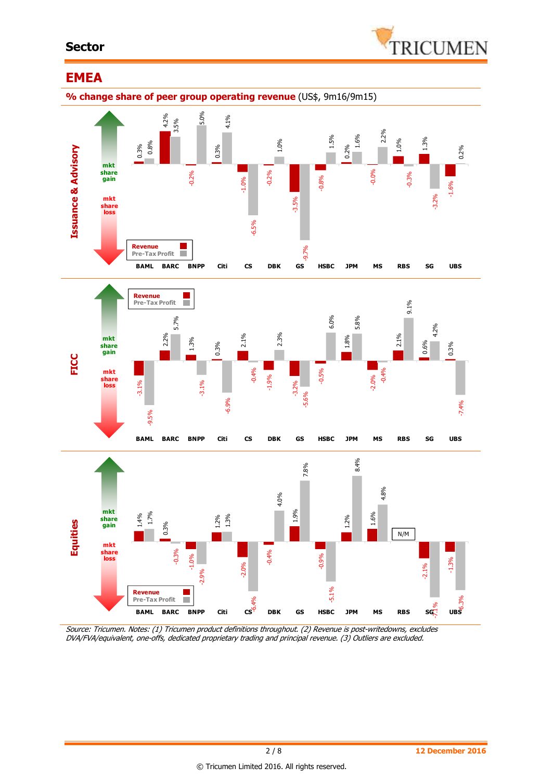### **Sector**



### **EMEA**

**% change share of peer group operating revenue** (US\$, 9m16/9m15)



Source: Tricumen. Notes: (1) Tricumen product definitions throughout. (2) Revenue is post-writedowns, excludes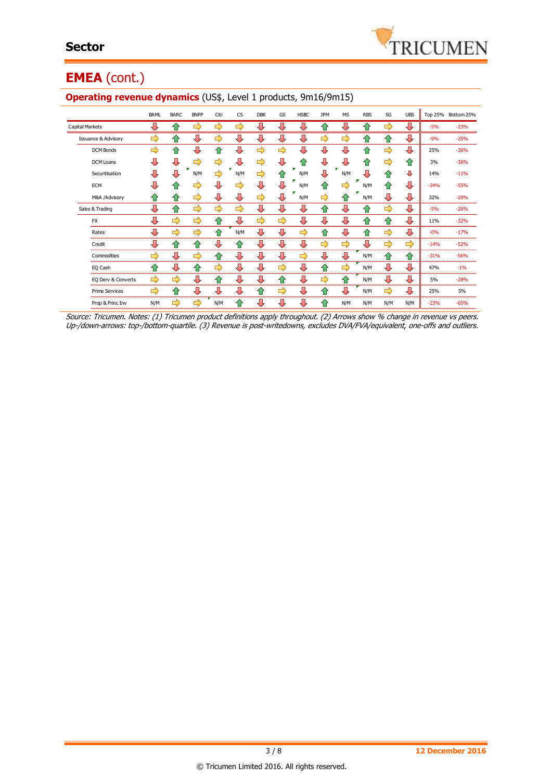## **EMEA** (cont.)

|                                | <b>BAML</b>   | <b>BARC</b> | <b>BNPP</b> | Citi | <b>CS</b> | <b>DBK</b>    | GS            | <b>HSBC</b> | <b>JPM</b>         | <b>MS</b> | <b>RBS</b> | SG  | <b>UBS</b>    |        | Top 25% Bottom 25% |
|--------------------------------|---------------|-------------|-------------|------|-----------|---------------|---------------|-------------|--------------------|-----------|------------|-----|---------------|--------|--------------------|
| <b>Capital Markets</b>         | U             | ⇑           | ⇨           | ⇨    | ⇨         | л             | Д             |             | 仆                  | ⊕         | ⇑          | ⇨   | ⊕             | $-5%$  | $-23%$             |
| <b>Issuance &amp; Advisory</b> | ⇨             | ⇧           | ⇩           | ⇨    | ⇩         | ⇩             | ⇩             | ⇩           | ⇨                  | ⇨         | ⇧          | ⇧   | ⇩             | $-9%$  | $-25%$             |
| DCM Bonds                      | ⇨             | ⇑           | ⊕           | ⇑    | ⇩         | ⇨             | $\Rightarrow$ | ⇩           | ⊕                  | ⊕         | ⇧          | ⇨   | ⊕             | 25%    | $-36%$             |
| DCM Loans                      | ⊕             | ⊕           | ⇨           | ⇨    | ⇩         | ⇨             | ⊕             | ⇑           | ⇩                  | ⇩         | ⇧          | ⇨   | ✿             | 3%     | $-36%$             |
| Securitisation                 | ⊕             | ⊕           | ×<br>N/M    | ⇨    | N/M       | $\Rightarrow$ | 企             | N/M         | ⊕                  | N/M       | J          | ⇧   | ⊕             | 14%    | $-11%$             |
| <b>ECM</b>                     | ⇩             | ⇑           | ⇨           | ⊕    | ⇨         | ⇩             | ⊕             | N/M         | ⇧                  | ⇨         | N/M        | ⇑   | ⊕             | $-24%$ | $-55%$             |
| M&A /Advisory                  | ⇑             | ⇑           | ⇨           | ⇩    | ⊕         | ⇨             | ⇩             | N/M         | ⇨                  | ⇑         | N/M        | ⊕   | ⊕             | 32%    | $-20%$             |
| Sales & Trading                | ⇩             | ⇧           | ⇨           | ⇨    | ⇨         | ⊕             | ⊕             | ⊕           | ⇧                  | ⊕         | ⇧          | ⇨   | ⊕             | $-5%$  | $-26%$             |
| <b>FX</b>                      | ⇩             | ⇨           | ⇨           | ⇑    | ⇩         | ⇨             | $\Rightarrow$ | ⊕           | ⊕                  | ⊕         | ⇧          | ⇑   | ⊕             | 11%    | $-32%$             |
| Rates                          | ⊕             | ⇨           | ⇨           | ⇑    | N/M       | ⇩             | ⇩             | ⇨           | $\hat{v}$          | ⊕         | ⇑          | ⇨   | ⊕             | $-0%$  | $-17%$             |
| Credit                         | ⊕             | ⇧           | ⇑           | ⊕    | ⇧         | ⊕             | ⊕             | ⊕           | ⇨                  | ⇨         | ⊕          | ⇨   | $\Rightarrow$ | $-14%$ | $-52%$             |
| Commodities                    | ⇨             | ⊕           | ⇨           | ⇑    | ⊕         | ⊕             | ⇩             | ⇨           | ⊕                  | ⊕         | N/M        | ⇑   | ⇧             | $-31%$ | $-56%$             |
| EQ Cash                        | ⇑             | ⊕           | ⇑           | ⇨    | ⇩         | J,            | ⇨             | ⇩           | ⇧                  | ⇨         | N/M        | ⊕   | ⊕             | 47%    | $-1%$              |
| EQ Derv & Converts             | $\Rightarrow$ | ⇨           | ⊕           | ⇑    | ⊕         | ⊕             | ⇑             | ⊕           | ⇨                  | ⇑         | N/M        | ⊕   | ⊕             | 5%     | $-28%$             |
| <b>Prime Services</b>          | ⇨             | ⇑           | ⊕           | ⇩    | ⇩         | ⇑             | ⇛             | ⇩           | ⇧                  | ⊕         | N/M        | ⇛   | ⊕             | 25%    | 5%                 |
| Prop & Princ Inv               | N/M           | ⇨           | ⇨           | N/M  | ⇑         | J,            | ⇩             | ⇩           | $\hat{\mathbf{v}}$ | N/M       | N/M        | N/M | N/M           | $-23%$ | $-65%$             |

#### **Operating revenue dynamics** (US\$, Level 1 products, 9m16/9m15)

Source: Tricumen. Notes: (1) Tricumen product definitions apply throughout. (2) Arrows show % change in revenue vs peers. Up-/down-arrows: top-/bottom-quartile. (3) Revenue is post-writedowns, excludes DVA/FVA/equivalent, one-offs and outliers.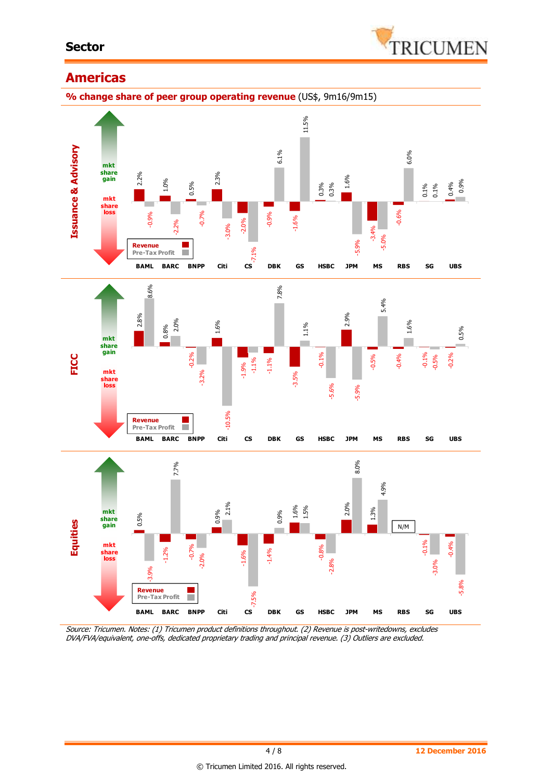### **Sector**



### **Americas**

**% change share of peer group operating revenue** (US\$, 9m16/9m15)



Source: Tricumen. Notes: (1) Tricumen product definitions throughout. (2) Revenue is post-writedowns, excludes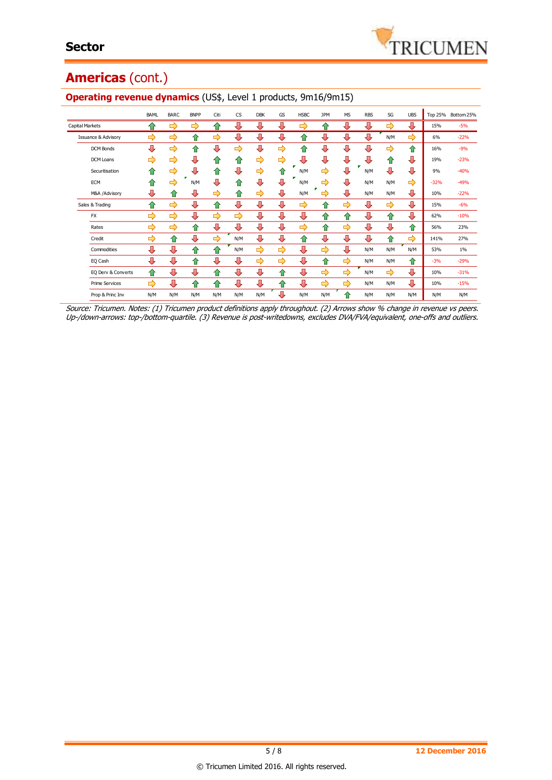## **Americas** (cont.)

|                                | BAML | <b>BARC</b> | <b>BNPP</b> | Citi | <b>CS</b> | <b>DBK</b> | GS | <b>HSBC</b>   | <b>JPM</b> | <b>MS</b> | <b>RBS</b> | SG  | <b>UBS</b> |        | Top 25% Bottom 25% |
|--------------------------------|------|-------------|-------------|------|-----------|------------|----|---------------|------------|-----------|------------|-----|------------|--------|--------------------|
| Capital Markets                | ⇑    | ⇨           | ⇨           | ⇑    | ⊕         | ⊕          | ⊕  | $\Rightarrow$ | ⇑          | л         | ⊕          | ⇨   | ⊕          | 15%    | $-5%$              |
| <b>Issuance &amp; Advisory</b> | ⇨    | ⇨           | ⇑           | ⇨    | Д         | ⊕          | ⊕  | 10            | Л          | Д         | ⇩          | N/M | ⇨          | 6%     | $-22%$             |
| <b>DCM Bonds</b>               | ⊕    | ⇨           | ⇑           | ⇩    |           | ⊕          | ⇨  | ⇑             | л          | ⇩         | ⊕          | ⇨   | 습          | 16%    | $-9%$              |
| <b>DCM Loans</b>               | ⇨    | ⇨           | ⊕           | ⇑    | ⇑         | ⇨          | ⇨  | 毋             | л          | ⊕         | ⊕          | ⇑   | ⊕          | 19%    | $-23%$             |
| Securitisation                 | ⇑    | ⇨           | ⊕           | 企    | Д         | ⇨          | ⇑  | N/M           | ⇨          | л         | N/M        | ⊕   | ⊕          | 9%     | $-40%$             |
| <b>ECM</b>                     | ⇑    | ⇨           | N/M         | Л    | ♠         | Д          | ⇩  | N/M           | ⇨          | л         | N/M        | N/M | ⇨          | $-32%$ | $-49%$             |
| M&A /Advisory                  | ⊕    | ⇑           | ⊕           | ⇨    | ⇑         | ⇨          | ⊕  | N/M           | ⇨          | Л         | N/M        | N/M | ⊕          | 10%    | $-22%$             |
| Sales & Trading                | ⇑    | ⇨           | ⊕           | ⇑    | Л         | ⊕          | 几  | ⇨             | 10         | ⇨         | ⊕          | ⇨   | ⊕          | 15%    | $-6%$              |
| <b>FX</b>                      | ⇨    | ⇨           | ⇩           | ⇨    | ⇨         | ⊕          | ⊕  | ⊕             | ⇑          | ⇑         | ⊕          | ⇑   | ⊕          | 62%    | $-10%$             |
| Rates                          | ⇨    | ⇨           | ⇑           | ⊕    | л         | ⊕          | ⊕  | ⇨             | ⇑          | ⇨         | ⊕          | ⊕   | 습          | 56%    | 23%                |
| Credit                         | ⇨    | ⇑           | ⊕           | ⇨    | N/M       | л          | ⊕  | ⇑             | ⊕          | ⊕         | ⊕          | ⇑   | ⇨          | 141%   | 27%                |
| Commodities                    | ⊕    | J           | ⇑           | ⇑    | N/M       | ⇨          | ⇨  | ⇩             | ⇨          | ⇩         | N/M        | N/M | N/M        | 53%    | $1\%$              |
| EQ Cash                        | ⇩    | ⊕           | ⇑           | ⇩    | ⊕         | ⇨          | ⇨  | ⊕             | ⇧          | ⇨         | N/M        | N/M | ⇧          | $-3%$  | $-29%$             |
| EQ Derv & Converts             | ⇑    | ⊕           | ⊕           | ⇑    | ⊕         | ⊕          | ⇑  | ⊕             | ⇨          | ⇨         | N/M        | ⇨   | ⊕          | 10%    | $-31%$             |
| <b>Prime Services</b>          | ⇨    | ⊕           | ⇑           | 仐    | ⊕         | ⊕          | ⇑  | ⊕             | ⇨          | ⇨         | N/M        | N/M | ⊕          | 10%    | $-15%$             |
| Prop & Princ Inv               | N/M  | N/M         | N/M         | N/M  | N/M       | N/M        | J, | N/M           | N/M        | ≏         | N/M        | N/M | N/M        | N/M    | N/M                |

#### **Operating revenue dynamics** (US\$, Level 1 products, 9m16/9m15)

Source: Tricumen. Notes: (1) Tricumen product definitions apply throughout. (2) Arrows show % change in revenue vs peers. Up-/down-arrows: top-/bottom-quartile. (3) Revenue is post-writedowns, excludes DVA/FVA/equivalent, one-offs and outliers.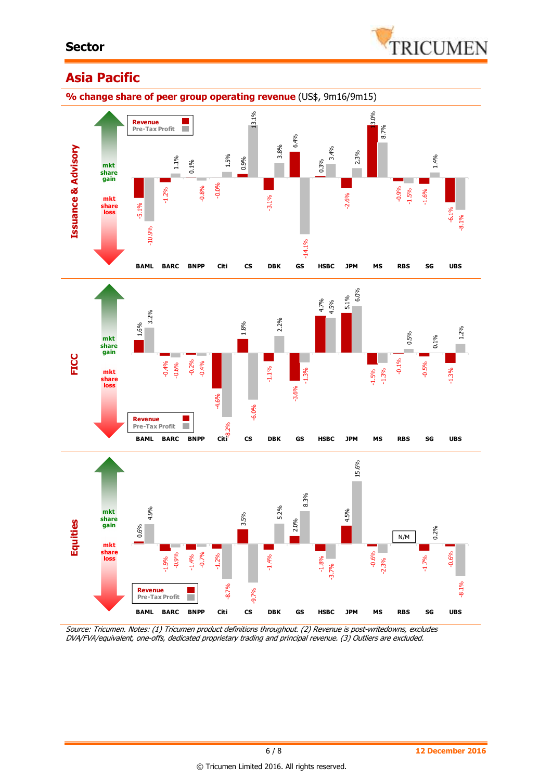

### **Asia Pacific**



Source: Tricumen. Notes: (1) Tricumen product definitions throughout. (2) Revenue is post-writedowns, excludes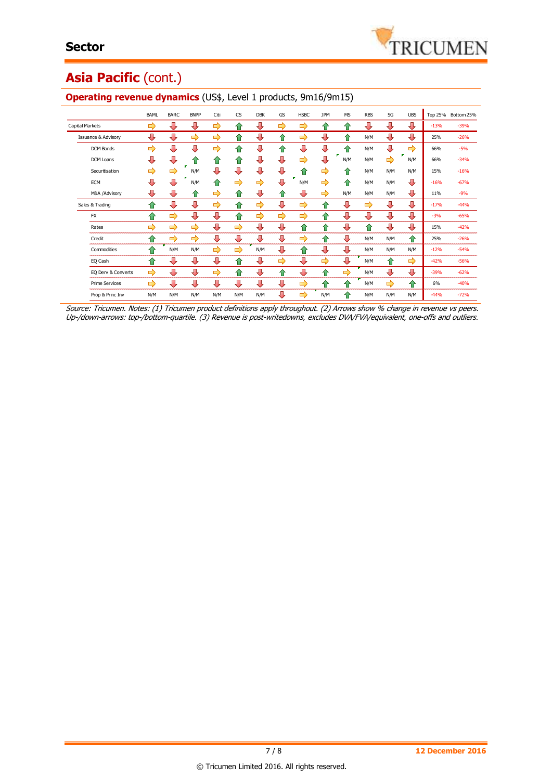# Asia Pacific (cont.)

|                                | BAML          | <b>BARC</b> | <b>BNPP</b> | Citi          | <b>CS</b>     | <b>DBK</b> | GS | <b>HSBC</b> | <b>JPM</b> | <b>MS</b> | <b>RBS</b> | SG  | <b>UBS</b> |        | Top 25% Bottom 25% |
|--------------------------------|---------------|-------------|-------------|---------------|---------------|------------|----|-------------|------------|-----------|------------|-----|------------|--------|--------------------|
| Capital Markets                | ⇨             | ⊕           | ₩           | ⇛             | ⇑             | ⊕          | ⇨  | ⇨           | 企          | ⇑         | ⊕          | ⊕   | ⊕          | $-13%$ | $-39%$             |
| <b>Issuance &amp; Advisory</b> | ⊕             | ⊕           | ⇨           | $\Rightarrow$ | ⇑             | ⊕          | ≏  | ⇨           | ⇩          | ⇑         | N/M        | ⊕   | ⊕          | 25%    | $-26%$             |
| <b>DCM Bonds</b>               | ⇨             | ⊕           | ⊕           | ⇨             | ⇑             | ⊕          |    | ⊕           | ⊕          | ⇑         | N/M        | ⊕   | ⇨          | 66%    | $-5%$              |
| <b>DCM Loans</b>               | ⊕             | ⊕           | 仆           | ⇑             | ⇑             | ⊕          | л  | ⇨           | ⇩          | N/M       | N/M        | ⇨   | N/M        | 66%    | $-34%$             |
| Securitisation                 | ⇨             | ⇨           | N/M         | ⇩             | ⊕             | ⊕          | ⊕  | 仆           | ⇨          | ⇑         | N/M        | N/M | N/M        | 15%    | $-16%$             |
| <b>ECM</b>                     | ⊕             | л           | N/M         | ⇑             | ⇨             | ⇨          | Д  | N/M         | ⇨          | ⇑         | N/M        | N/M | ⊕          | $-16%$ | $-67%$             |
| M&A /Advisory                  | ⊕             | ⊕           | ⇑           | ⇨             | ⇑             | ⊕          |    | ₩           | ⇨          | N/M       | N/M        | N/M | ⊕          | 11%    | $-9%$              |
| Sales & Trading                | ♠             | л           | J           | ⇨             | ⇑             | ⇨          | л  | ⇨           | ⇑          | ⊕         | ⇨          | ⊕   | ⊕          | $-17%$ | $-44%$             |
| <b>FX</b>                      | ⇑             | ⇨           | ⇩           | ⊕             | ⇑             | ⇨          | ⇨  | ⇨           | ⇑          | Д         | ⊕          | ⊕   | ⊕          | $-3%$  | $-65%$             |
| Rates                          | ⇨             | ⇨           | ⇨           | ⊕             | ⇨             | ⊕          | ⊕  | ⇑           | ⇑          | ⊕         | ⇑          | ⊕   | ⊕          | 15%    | $-42%$             |
| Credit                         | ⇑             | ⇨           | ⇨           | ⊕             | ⊕             | ⊕          | ⊕  | ⇨           | ⇑          | ⊕         | N/M        | N/M | ⇑          | 25%    | $-26%$             |
| Commodities                    | ⇑             | N/M         | N/M         | ⇨             | $\Rightarrow$ | N/M        | ⊕  | ⇑           | ⊕          | ⊕         | N/M        | N/M | N/M        | $-12%$ | $-54%$             |
| EQ Cash                        | ♠             | Д           | ⊕           | Л             | ⇑             | Л          | ⇨  | ⇩           | ⇨          | ⇩         | N/M        | ⇑   | ⇨          | $-42%$ | $-56%$             |
| EQ Derv & Converts             | $\Rightarrow$ | ⊕           | ⊕           | ⇨             | ⇑             | ⊕          | ≏  | ⊕           | ⇑          | ⇨         | N/M        | ⊕   | ⊕          | $-39%$ | $-62%$             |
| <b>Prime Services</b>          | ⇨             | ⊕           | ⊕           | ⊕             | ⊕             | ⊕          | ⊕  | ⇨           | ⇑          | ⇑         | N/M        | ⇨   | ⇑          | 6%     | $-40%$             |
| Prop & Princ Inv               | N/M           | N/M         | N/M         | N/M           | N/M           | N/M        | ┺  | ⇨           | N/M        | ⇑         | N/M        | N/M | N/M        | $-44%$ | $-72%$             |

#### **Operating revenue dynamics** (US\$, Level 1 products, 9m16/9m15)

Source: Tricumen. Notes: (1) Tricumen product definitions apply throughout. (2) Arrows show % change in revenue vs peers. Up-/down-arrows: top-/bottom-quartile. (3) Revenue is post-writedowns, excludes DVA/FVA/equivalent, one-offs and outliers.